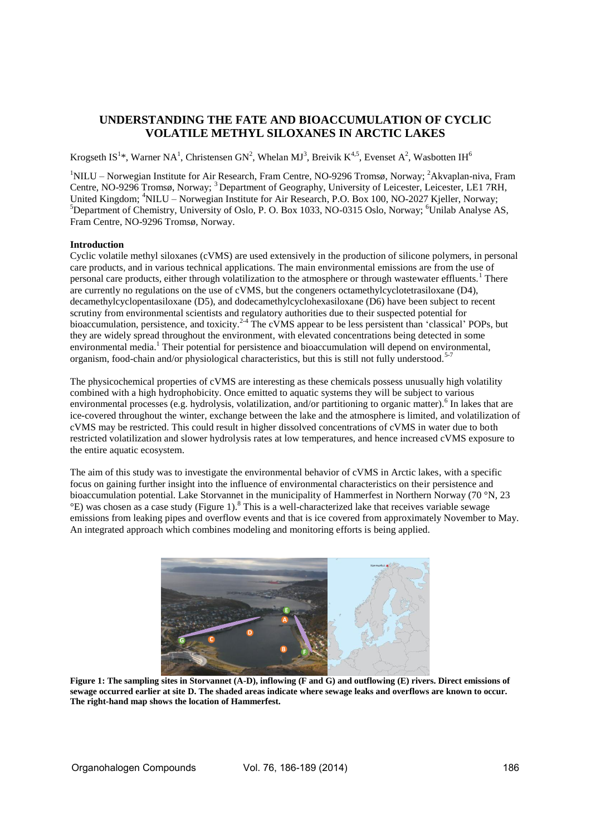# **UNDERSTANDING THE FATE AND BIOACCUMULATION OF CYCLIC VOLATILE METHYL SILOXANES IN ARCTIC LAKES**

Krogseth IS<sup>1</sup>\*, Warner NA<sup>1</sup>, Christensen GN<sup>2</sup>, Whelan MJ<sup>3</sup>, Breivik K<sup>4,5</sup>, Evenset A<sup>2</sup>, Wasbotten IH<sup>6</sup>

 $1$ NILU – Norwegian Institute for Air Research, Fram Centre, NO-9296 Tromsø, Norway;  $2$ Akvaplan-niva, Fram Centre, NO-9296 Tromsø, Norway; <sup>3</sup> Department of Geography, University of Leicester, Leicester, LE1 7RH, United Kingdom; <sup>4</sup>NILU – Norwegian Institute for Air Research, P.O. Box 100, NO-2027 Kjeller, Norway; <sup>5</sup>Department of Chemistry, University of Oslo, P. O. Box 1033, NO-0315 Oslo, Norway; <sup>6</sup>Unilab Analyse AS, Fram Centre, NO-9296 Tromsø, Norway.

## **Introduction**

Cyclic volatile methyl siloxanes (cVMS) are used extensively in the production of silicone polymers, in personal care products, and in various technical applications. The main environmental emissions are from the use of personal care products, either through volatilization to the atmosphere or through wastewater effluents.<sup>1</sup> There are currently no regulations on the use of cVMS, but the congeners octamethylcyclotetrasiloxane (D4), decamethylcyclopentasiloxane (D5), and dodecamethylcyclohexasiloxane (D6) have been subject to recent scrutiny from environmental scientists and regulatory authorities due to their suspected potential for bioaccumulation, persistence, and toxicity.<sup>2-4</sup> The cVMS appear to be less persistent than 'classical' POPs, but they are widely spread throughout the environment, with elevated concentrations being detected in some environmental media.<sup>1</sup> Their potential for persistence and bioaccumulation will depend on environmental, organism, food-chain and/or physiological characteristics, but this is still not fully understood.<sup>5-7</sup>

The physicochemical properties of cVMS are interesting as these chemicals possess unusually high volatility combined with a high hydrophobicity. Once emitted to aquatic systems they will be subject to various environmental processes (e.g. hydrolysis, volatilization, and/or partitioning to organic matter). <sup>6</sup> In lakes that are ice-covered throughout the winter, exchange between the lake and the atmosphere is limited, and volatilization of cVMS may be restricted. This could result in higher dissolved concentrations of cVMS in water due to both restricted volatilization and slower hydrolysis rates at low temperatures, and hence increased cVMS exposure to the entire aquatic ecosystem.

The aim of this study was to investigate the environmental behavior of cVMS in Arctic lakes, with a specific focus on gaining further insight into the influence of environmental characteristics on their persistence and bioaccumulation potential. Lake Storvannet in the municipality of Hammerfest in Northern Norway (70 °N, 23  $^{\circ}$ E) was chosen as a case study (Figure 1).<sup>8</sup> This is a well-characterized lake that receives variable sewage emissions from leaking pipes and overflow events and that is ice covered from approximately November to May. An integrated approach which combines modeling and monitoring efforts is being applied.



**Figure 1: The sampling sites in Storvannet (A-D), inflowing (F and G) and outflowing (E) rivers. Direct emissions of sewage occurred earlier at site D. The shaded areas indicate where sewage leaks and overflows are known to occur. The right-hand map shows the location of Hammerfest.**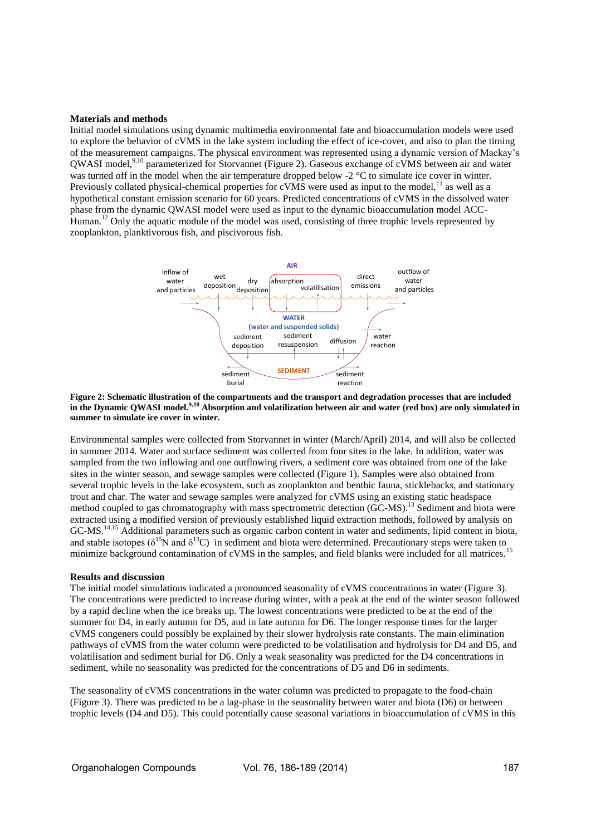#### **Materials and methods**

Initial model simulations using dynamic multimedia environmental fate and bioaccumulation models were used to explore the behavior of cVMS in the lake system including the effect of ice-cover, and also to plan the timing of the measurement campaigns. The physical environment was represented using a dynamic version of Mackay's QWASI model,9,10 parameterized for Storvannet (Figure 2). Gaseous exchange of cVMS between air and water was turned off in the model when the air temperature dropped below -2 °C to simulate ice cover in winter. Previously collated physical-chemical properties for cVMS were used as input to the model,  $\frac{11}{11}$  as well as a hypothetical constant emission scenario for 60 years. Predicted concentrations of cVMS in the dissolved water phase from the dynamic QWASI model were used as input to the dynamic bioaccumulation model ACC-Human.<sup>12</sup> Only the aquatic module of the model was used, consisting of three trophic levels represented by zooplankton, planktivorous fish, and piscivorous fish.



#### **Figure 2: Schematic illustration of the compartments and the transport and degradation processes that are included in the Dynamic QWASI model.9,10 Absorption and volatilization between air and water (red box) are only simulated in summer to simulate ice cover in winter.**

Environmental samples were collected from Storvannet in winter (March/April) 2014, and will also be collected in summer 2014. Water and surface sediment was collected from four sites in the lake. In addition, water was sampled from the two inflowing and one outflowing rivers, a sediment core was obtained from one of the lake sites in the winter season, and sewage samples were collected (Figure 1). Samples were also obtained from several trophic levels in the lake ecosystem, such as zooplankton and benthic fauna, sticklebacks, and stationary trout and char. The water and sewage samples were analyzed for cVMS using an existing static headspace method coupled to gas chromatography with mass spectrometric detection (GC-MS).<sup>13</sup> Sediment and biota were extracted using a modified version of previously established liquid extraction methods, followed by analysis on GC-MS.<sup>14,15</sup> Additional parameters such as organic carbon content in water and sediments, lipid content in biota, and stable isotopes ( $\delta^{15}N$  and  $\delta^{13}C$ ) in sediment and biota were determined. Precautionary steps were taken to minimize background contamination of cVMS in the samples, and field blanks were included for all matrices.<sup>15</sup>

#### **Results and discussion**

The initial model simulations indicated a pronounced seasonality of cVMS concentrations in water (Figure 3). The concentrations were predicted to increase during winter, with a peak at the end of the winter season followed by a rapid decline when the ice breaks up. The lowest concentrations were predicted to be at the end of the summer for D4, in early autumn for D5, and in late autumn for D6. The longer response times for the larger cVMS congeners could possibly be explained by their slower hydrolysis rate constants. The main elimination pathways of cVMS from the water column were predicted to be volatilisation and hydrolysis for D4 and D5, and volatilisation and sediment burial for D6. Only a weak seasonality was predicted for the D4 concentrations in sediment, while no seasonality was predicted for the concentrations of D5 and D6 in sediments.

The seasonality of cVMS concentrations in the water column was predicted to propagate to the food-chain (Figure 3). There was predicted to be a lag-phase in the seasonality between water and biota (D6) or between trophic levels (D4 and D5). This could potentially cause seasonal variations in bioaccumulation of cVMS in this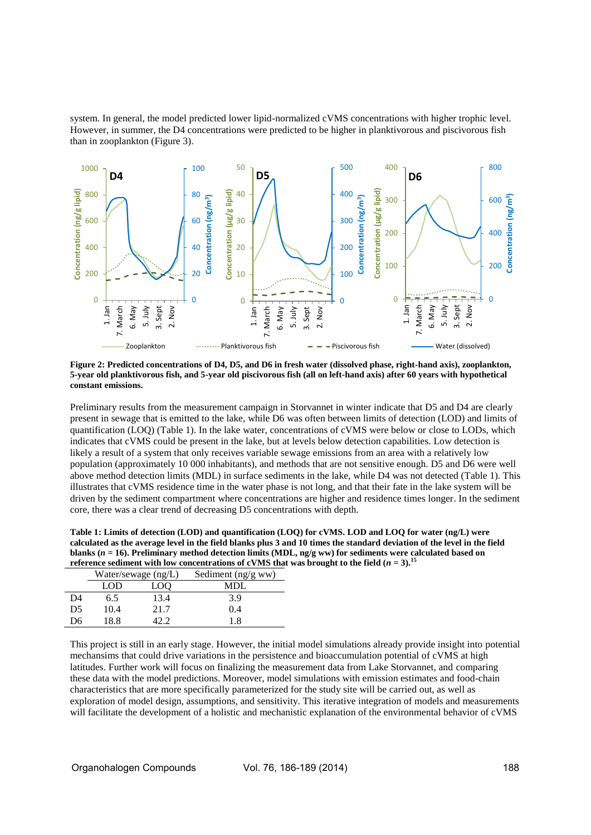system. In general, the model predicted lower lipid-normalized cVMS concentrations with higher trophic level. However, in summer, the D4 concentrations were predicted to be higher in planktivorous and piscivorous fish than in zooplankton (Figure 3).



**Figure 2: Predicted concentrations of D4, D5, and D6 in fresh water (dissolved phase, right-hand axis), zooplankton, 5-year old planktivorous fish, and 5-year old piscivorous fish (all on left-hand axis) after 60 years with hypothetical constant emissions.** 

Preliminary results from the measurement campaign in Storvannet in winter indicate that D5 and D4 are clearly present in sewage that is emitted to the lake, while D6 was often between limits of detection (LOD) and limits of quantification (LOQ) (Table 1). In the lake water, concentrations of cVMS were below or close to LODs, which indicates that cVMS could be present in the lake, but at levels below detection capabilities. Low detection is likely a result of a system that only receives variable sewage emissions from an area with a relatively low population (approximately 10 000 inhabitants), and methods that are not sensitive enough. D5 and D6 were well above method detection limits (MDL) in surface sediments in the lake, while D4 was not detected (Table 1). This illustrates that cVMS residence time in the water phase is not long, and that their fate in the lake system will be driven by the sediment compartment where concentrations are higher and residence times longer. In the sediment core, there was a clear trend of decreasing D5 concentrations with depth.

| Table 1: Limits of detection (LOD) and quantification (LOO) for cVMS. LOD and LOO for water (ng/L) were                  |
|--------------------------------------------------------------------------------------------------------------------------|
| calculated as the average level in the field blanks plus 3 and 10 times the standard deviation of the level in the field |
| blanks ( $n = 16$ ). Preliminary method detection limits (MDL, ng/g ww) for sediments were calculated based on           |
| reference sediment with low concentrations of cVMS that was brought to the field $(n=3)$ . <sup>15</sup>                 |

|     | Water/sewage $(ng/L)$ |      | Sediment $(ng/gww)$ |
|-----|-----------------------|------|---------------------|
|     | LOD                   |      | MDI                 |
| D4  | 6.5                   | 13.4 | 3.9                 |
| D5  | 10.4                  | 21.7 | 0.4                 |
| 1)6 | 18.8                  |      | 18                  |

This project is still in an early stage. However, the initial model simulations already provide insight into potential mechansims that could drive variations in the persistence and bioaccumulation potential of cVMS at high latitudes. Further work will focus on finalizing the measurement data from Lake Storvannet, and comparing these data with the model predictions. Moreover, model simulations with emission estimates and food-chain characteristics that are more specifically parameterized for the study site will be carried out, as well as exploration of model design, assumptions, and sensitivity. This iterative integration of models and measurements will facilitate the development of a holistic and mechanistic explanation of the environmental behavior of cVMS